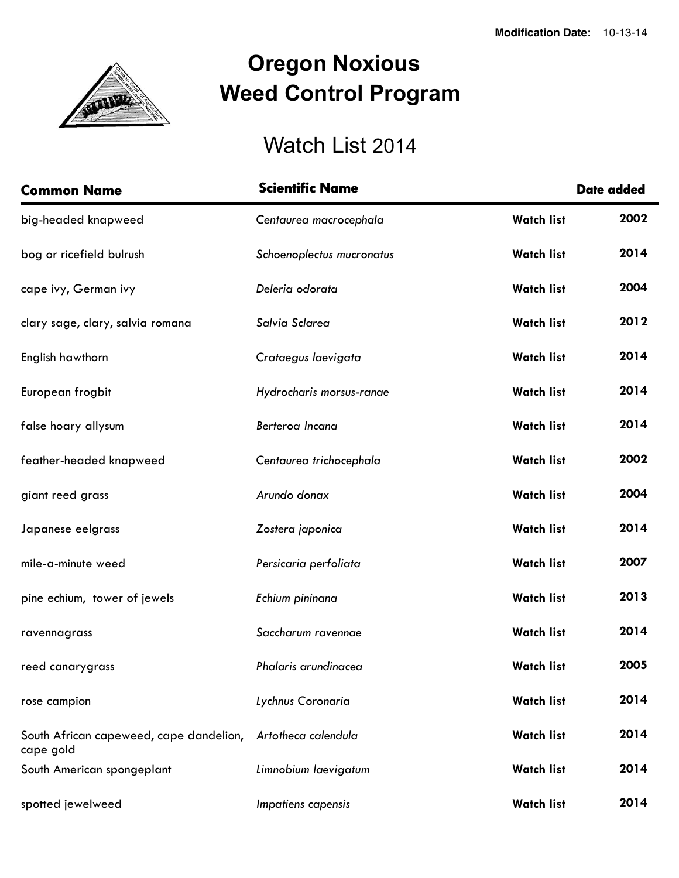

## **Oregon Noxious Weed Control Program**

## Watch List 2014

| <b>Common Name</b>                      | <b>Scientific Name</b>    |                   | <b>Date added</b> |
|-----------------------------------------|---------------------------|-------------------|-------------------|
| big-headed knapweed                     | Centaurea macrocephala    | <b>Watch list</b> | 2002              |
| bog or ricefield bulrush                | Schoenoplectus mucronatus | <b>Watch list</b> | 2014              |
| cape ivy, German ivy                    | Deleria odorata           | <b>Watch list</b> | 2004              |
| clary sage, clary, salvia romana        | Salvia Sclarea            | <b>Watch list</b> | 2012              |
| English hawthorn                        | Crataegus laevigata       | <b>Watch list</b> | 2014              |
| European frogbit                        | Hydrocharis morsus-ranae  | <b>Watch list</b> | 2014              |
| false hoary allysum                     | Berteroa Incana           | <b>Watch list</b> | 2014              |
| feather-headed knapweed                 | Centaurea trichocephala   | <b>Watch list</b> | 2002              |
| giant reed grass                        | Arundo donax              | <b>Watch list</b> | 2004              |
| Japanese eelgrass                       | Zostera japonica          | <b>Watch list</b> | 2014              |
| mile-a-minute weed                      | Persicaria perfoliata     | <b>Watch list</b> | 2007              |
| pine echium, tower of jewels            | Echium pininana           | <b>Watch list</b> | 2013              |
| ravennagrass                            | Saccharum ravennae        | <b>Watch list</b> | 2014              |
| reed canarygrass                        | Phalaris arundinacea      | <b>Watch list</b> | 2005              |
| rose campion                            | Lychnus Coronaria         | <b>Watch list</b> | 2014              |
| South African capeweed, cape dandelion, | Artotheca calendula       | <b>Watch list</b> | 2014              |
| cape gold<br>South American spongeplant | Limnobium laevigatum      | <b>Watch list</b> | 2014              |
| spotted jewelweed                       | Impatiens capensis        | <b>Watch list</b> | 2014              |